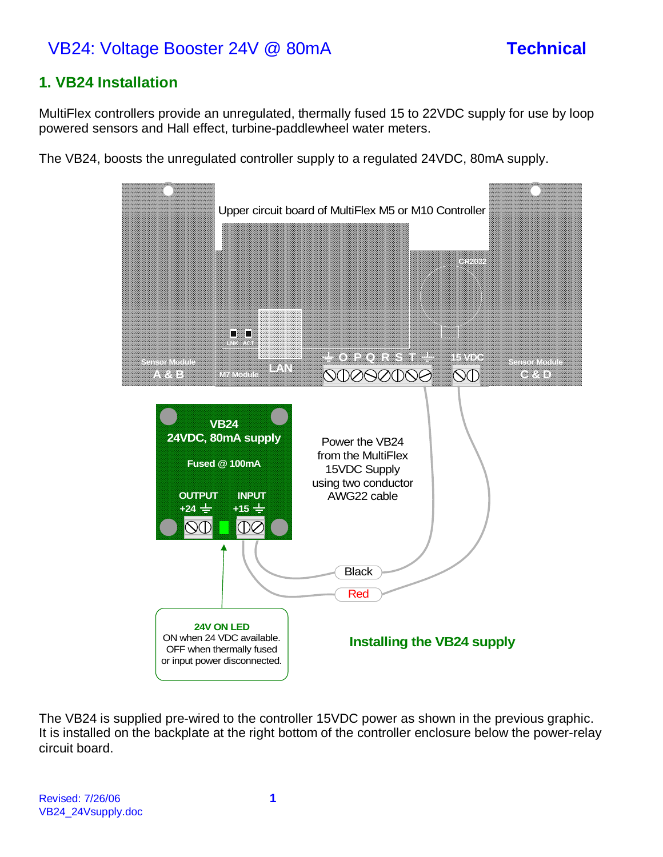# VB24: Voltage Booster 24V @ 80mA **Technical**

## **1. VB24 Installation**

MultiFlex controllers provide an unregulated, thermally fused 15 to 22VDC supply for use by loop powered sensors and Hall effect, turbine-paddlewheel water meters.

The VB24, boosts the unregulated controller supply to a regulated 24VDC, 80mA supply.



The VB24 is supplied pre-wired to the controller 15VDC power as shown in the previous graphic. It is installed on the backplate at the right bottom of the controller enclosure below the power-relay circuit board.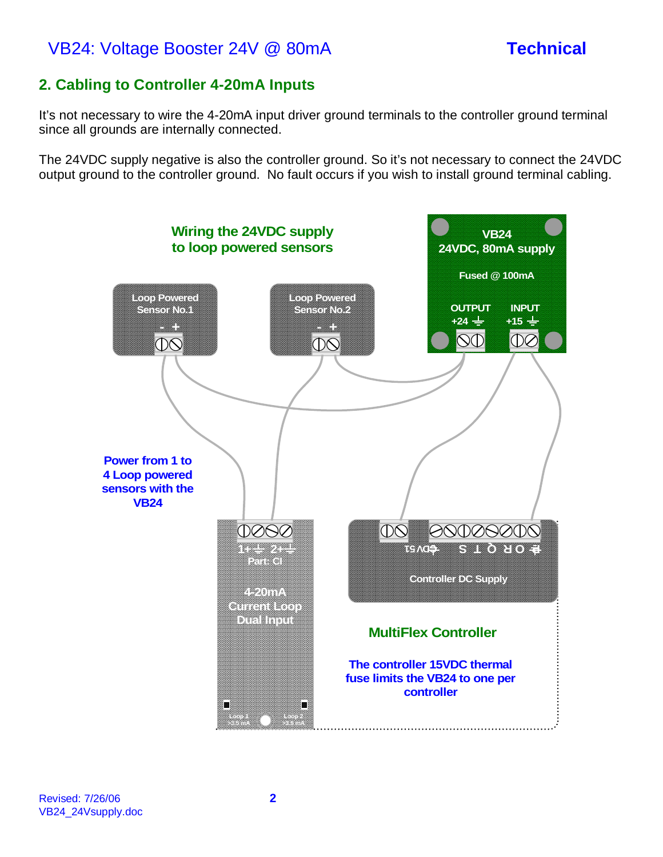# VB24: Voltage Booster 24V @ 80mA **Technical**

## **2. Cabling to Controller 4-20mA Inputs**

It's not necessary to wire the 4-20mA input driver ground terminals to the controller ground terminal since all grounds are internally connected.

The 24VDC supply negative is also the controller ground. So it's not necessary to connect the 24VDC output ground to the controller ground. No fault occurs if you wish to install ground terminal cabling.